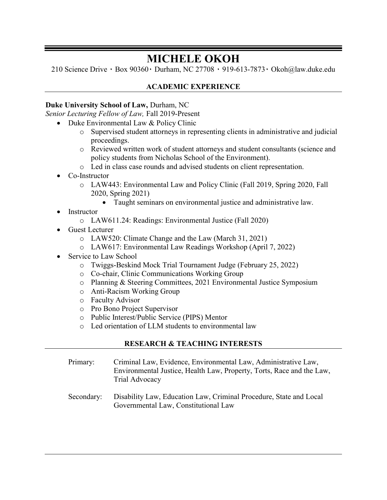# MICHELE OKOH

210 Science Drive ٠ Box 90360٠ Durham, NC 27708 ٠ 919-613-7873٠ Okoh@law.duke.edu

# ACADEMIC EXPERIENCE

#### Duke University School of Law, Durham, NC

Senior Lecturing Fellow of Law, Fall 2019-Present

- Duke Environmental Law & Policy Clinic
	- o Supervised student attorneys in representing clients in administrative and judicial proceedings.
	- o Reviewed written work of student attorneys and student consultants (science and policy students from Nicholas School of the Environment).
	- o Led in class case rounds and advised students on client representation.
- Co-Instructor
	- o LAW443: Environmental Law and Policy Clinic (Fall 2019, Spring 2020, Fall 2020, Spring 2021)
		- Taught seminars on environmental justice and administrative law.
- Instructor
	- o LAW611.24: Readings: Environmental Justice (Fall 2020)
- Guest Lecturer
	- o LAW520: Climate Change and the Law (March 31, 2021)
	- o LAW617: Environmental Law Readings Workshop (April 7, 2022)
- Service to Law School
	- o Twiggs-Beskind Mock Trial Tournament Judge (February 25, 2022)
	- o Co-chair, Clinic Communications Working Group
	- o Planning & Steering Committees, 2021 Environmental Justice Symposium
	- o Anti-Racism Working Group
	- o Faculty Advisor
	- o Pro Bono Project Supervisor
	- o Public Interest/Public Service (PIPS) Mentor
	- o Led orientation of LLM students to environmental law

# RESEARCH & TEACHING INTERESTS

| Primary: | Criminal Law, Evidence, Environmental Law, Administrative Law,        |
|----------|-----------------------------------------------------------------------|
|          | Environmental Justice, Health Law, Property, Torts, Race and the Law, |
|          | Trial Advocacy                                                        |
|          |                                                                       |

Secondary: Disability Law, Education Law, Criminal Procedure, State and Local Governmental Law, Constitutional Law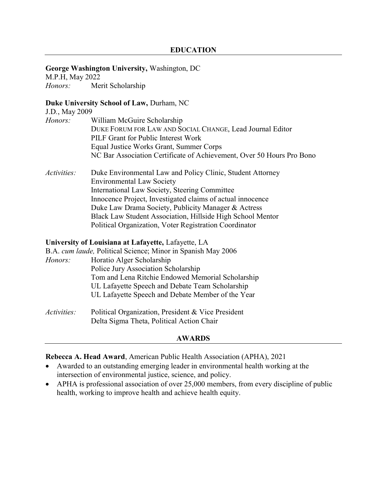George Washington University, Washington, DC

M.P.H, May 2022

Honors: Merit Scholarship

# Duke University School of Law, Durham, NC

| J.D., May 2009     |                                                                       |
|--------------------|-----------------------------------------------------------------------|
| Honors:            | William McGuire Scholarship                                           |
|                    | DUKE FORUM FOR LAW AND SOCIAL CHANGE, Lead Journal Editor             |
|                    | PILF Grant for Public Interest Work                                   |
|                    | Equal Justice Works Grant, Summer Corps                               |
|                    | NC Bar Association Certificate of Achievement, Over 50 Hours Pro Bono |
| <i>Activities:</i> | Duke Environmental Law and Policy Clinic, Student Attorney            |
|                    | <b>Environmental Law Society</b>                                      |
|                    | International Law Society, Steering Committee                         |
|                    | Innocence Project, Investigated claims of actual innocence            |
|                    | Duke Law Drama Society, Publicity Manager & Actress                   |
|                    | Black Law Student Association, Hillside High School Mentor            |
|                    | Political Organization, Voter Registration Coordinator                |
|                    | University of Louisiana at Lafayette, Lafayette, LA                   |
|                    | B.A. cum laude, Political Science; Minor in Spanish May 2006          |
| Honors:            | Horatio Alger Scholarship                                             |
|                    | Police Jury Association Scholarship                                   |
|                    | Tom and Lena Ritchie Endowed Memorial Scholarship                     |
|                    | UL Lafayette Speech and Debate Team Scholarship                       |
|                    |                                                                       |

UL Lafayette Speech and Debate Member of the Year

Activities: Political Organization, President & Vice President Delta Sigma Theta, Political Action Chair

#### AWARDS

#### Rebecca A. Head Award, American Public Health Association (APHA), 2021

- Awarded to an outstanding emerging leader in environmental health working at the intersection of environmental justice, science, and policy.
- APHA is professional association of over 25,000 members, from every discipline of public health, working to improve health and achieve health equity.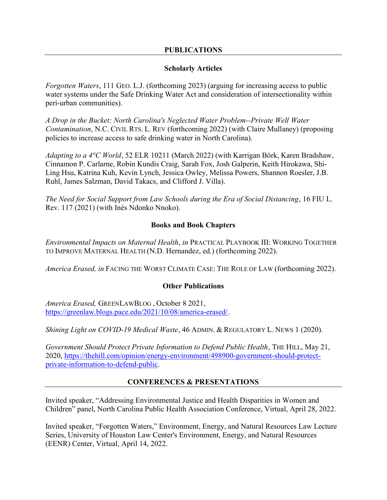#### PUBLICATIONS

#### Scholarly Articles

Forgotten Waters, 111 GEO. L.J. (forthcoming 2023) (arguing for increasing access to public water systems under the Safe Drinking Water Act and consideration of intersectionality within peri-urban communities).

A Drop in the Bucket: North Carolina's Neglected Water Problem--Private Well Water Contamination, N.C. CIVIL RTS. L. REV (forthcoming 2022) (with Claire Mullaney) (proposing policies to increase access to safe drinking water in North Carolina).

*Adapting to a 4<sup>o</sup>C World*, 52 ELR 10211 (March 2022) (with Karrigan Börk, Karen Bradshaw, Cinnamon P. Carlarne, Robin Kundis Craig, Sarah Fox, Josh Galperin, Keith Hirokawa, Shi-Ling Hsu, Katrina Kuh, Kevin Lynch, Jessica Owley, Melissa Powers, Shannon Roesler, J.B. Ruhl, James Salzman, David Takacs, and Clifford J. Villa).

The Need for Social Support from Law Schools during the Era of Social Distancing, 16 FIU L. Rev. 117 (2021) (with Inès Ndonko Nnoko).

#### Books and Book Chapters

Environmental Impacts on Maternal Health, in PRACTICAL PLAYBOOK III: WORKING TOGETHER TO IMPROVE MATERNAL HEALTH (N.D. Hernandez, ed.) (forthcoming 2022).

America Erased, in FACING THE WORST CLIMATE CASE: THE ROLE OF LAW (forthcoming 2022).

#### Other Publications

America Erased, GREENLAWBLOG , October 8 2021, https://greenlaw.blogs.pace.edu/2021/10/08/america-erased/.

Shining Light on COVID-19 Medical Waste, 46 ADMIN. & REGULATORY L. NEWS 1 (2020).

Government Should Protect Private Information to Defend Public Health, THE HILL, May 21, 2020, https://thehill.com/opinion/energy-environment/498900-government-should-protectprivate-information-to-defend-public.

#### CONFERENCES & PRESENTATIONS

Invited speaker, "Addressing Environmental Justice and Health Disparities in Women and Children" panel, North Carolina Public Health Association Conference, Virtual, April 28, 2022.

Invited speaker, "Forgotten Waters," Environment, Energy, and Natural Resources Law Lecture Series, University of Houston Law Center's Environment, Energy, and Natural Resources (EENR) Center, Virtual, April 14, 2022.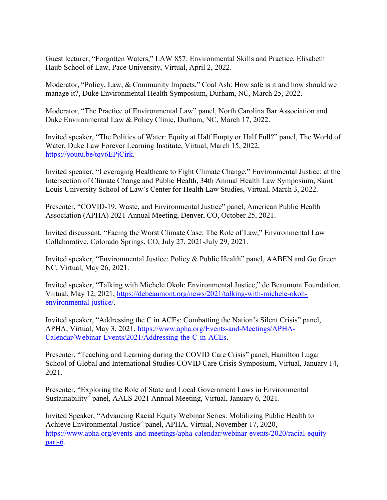Guest lecturer, "Forgotten Waters," LAW 857: Environmental Skills and Practice, Elisabeth Haub School of Law, Pace University, Virtual, April 2, 2022.

Moderator, "Policy, Law, & Community Impacts," Coal Ash: How safe is it and how should we manage it?, Duke Environmental Health Symposium, Durham, NC, March 25, 2022.

Moderator, "The Practice of Environmental Law" panel, North Carolina Bar Association and Duke Environmental Law & Policy Clinic, Durham, NC, March 17, 2022.

Invited speaker, "The Politics of Water: Equity at Half Empty or Half Full?" panel, The World of Water, Duke Law Forever Learning Institute, Virtual, March 15, 2022, https://youtu.be/tqv6EPjCirk.

Invited speaker, "Leveraging Healthcare to Fight Climate Change," Environmental Justice: at the Intersection of Climate Change and Public Health, 34th Annual Health Law Symposium, Saint Louis University School of Law's Center for Health Law Studies, Virtual, March 3, 2022.

Presenter, "COVID-19, Waste, and Environmental Justice" panel, American Public Health Association (APHA) 2021 Annual Meeting, Denver, CO, October 25, 2021.

Invited discussant, "Facing the Worst Climate Case: The Role of Law," Environmental Law Collaborative, Colorado Springs, CO, July 27, 2021-July 29, 2021.

Invited speaker, "Environmental Justice: Policy & Public Health" panel, AABEN and Go Green NC, Virtual, May 26, 2021.

Invited speaker, "Talking with Michele Okoh: Environmental Justice," de Beaumont Foundation, Virtual, May 12, 2021, https://debeaumont.org/news/2021/talking-with-michele-okohenvironmental-justice/.

Invited speaker, "Addressing the C in ACEs: Combatting the Nation's Silent Crisis" panel, APHA, Virtual, May 3, 2021, https://www.apha.org/Events-and-Meetings/APHA-Calendar/Webinar-Events/2021/Addressing-the-C-in-ACEs.

Presenter, "Teaching and Learning during the COVID Care Crisis" panel, Hamilton Lugar School of Global and International Studies COVID Care Crisis Symposium, Virtual, January 14, 2021.

Presenter, "Exploring the Role of State and Local Government Laws in Environmental Sustainability" panel, AALS 2021 Annual Meeting, Virtual, January 6, 2021.

Invited Speaker, "Advancing Racial Equity Webinar Series: Mobilizing Public Health to Achieve Environmental Justice" panel, APHA, Virtual, November 17, 2020, https://www.apha.org/events-and-meetings/apha-calendar/webinar-events/2020/racial-equitypart-6.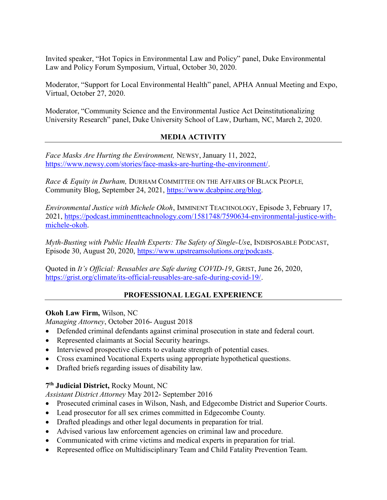Invited speaker, "Hot Topics in Environmental Law and Policy" panel, Duke Environmental Law and Policy Forum Symposium, Virtual, October 30, 2020.

Moderator, "Support for Local Environmental Health" panel, APHA Annual Meeting and Expo, Virtual, October 27, 2020.

Moderator, "Community Science and the Environmental Justice Act Deinstitutionalizing University Research" panel, Duke University School of Law, Durham, NC, March 2, 2020.

# MEDIA ACTIVITY

Face Masks Are Hurting the Environment, NEWSY, January 11, 2022, https://www.newsy.com/stories/face-masks-are-hurting-the-environment/.

Race & Equity in Durham, DURHAM COMMITTEE ON THE AFFAIRS OF BLACK PEOPLE, Community Blog, September 24, 2021, https://www.dcabpinc.org/blog.

Environmental Justice with Michele Okoh, IMMINENT TEACHNOLOGY, Episode 3, February 17, 2021, https://podcast.imminentteachnology.com/1581748/7590634-environmental-justice-withmichele-okoh.

Myth-Busting with Public Health Experts: The Safety of Single-Use, INDISPOSABLE PODCAST, Episode 30, August 20, 2020, https://www.upstreamsolutions.org/podcasts.

Quoted in It's Official: Reusables are Safe during COVID-19, GRIST, June 26, 2020, https://grist.org/climate/its-official-reusables-are-safe-during-covid-19/.

# PROFESSIONAL LEGAL EXPERIENCE

#### Okoh Law Firm, Wilson, NC

Managing Attorney, October 2016- August 2018

- Defended criminal defendants against criminal prosecution in state and federal court.
- Represented claimants at Social Security hearings.
- Interviewed prospective clients to evaluate strength of potential cases.
- Cross examined Vocational Experts using appropriate hypothetical questions.
- Drafted briefs regarding issues of disability law.

# 7<sup>th</sup> Judicial District, Rocky Mount, NC

Assistant District Attorney May 2012- September 2016

- Prosecuted criminal cases in Wilson, Nash, and Edgecombe District and Superior Courts.
- Lead prosecutor for all sex crimes committed in Edgecombe County.
- Drafted pleadings and other legal documents in preparation for trial.
- Advised various law enforcement agencies on criminal law and procedure.
- Communicated with crime victims and medical experts in preparation for trial.
- Represented office on Multidisciplinary Team and Child Fatality Prevention Team.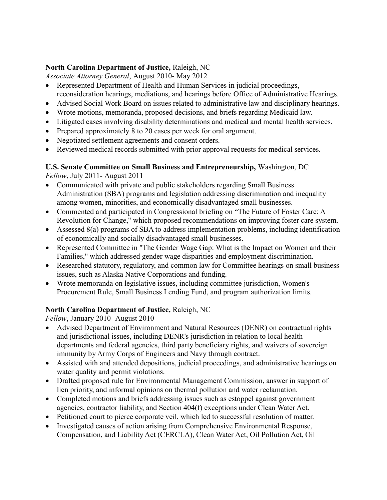## North Carolina Department of Justice, Raleigh, NC

Associate Attorney General, August 2010- May 2012

- Represented Department of Health and Human Services in judicial proceedings, reconsideration hearings, mediations, and hearings before Office of Administrative Hearings.
- Advised Social Work Board on issues related to administrative law and disciplinary hearings.
- Wrote motions, memoranda, proposed decisions, and briefs regarding Medicaid law.
- Litigated cases involving disability determinations and medical and mental health services.
- Prepared approximately 8 to 20 cases per week for oral argument.
- Negotiated settlement agreements and consent orders.
- Reviewed medical records submitted with prior approval requests for medical services.

# U.S. Senate Committee on Small Business and Entrepreneurship, Washington, DC

Fellow, July 2011- August 2011

- Communicated with private and public stakeholders regarding Small Business Administration (SBA) programs and legislation addressing discrimination and inequality among women, minorities, and economically disadvantaged small businesses.
- Commented and participated in Congressional briefing on "The Future of Foster Care: A Revolution for Change," which proposed recommendations on improving foster care system.
- Assessed 8(a) programs of SBA to address implementation problems, including identification of economically and socially disadvantaged small businesses.
- Represented Committee in "The Gender Wage Gap: What is the Impact on Women and their Families," which addressed gender wage disparities and employment discrimination.
- Researched statutory, regulatory, and common law for Committee hearings on small business issues, such as Alaska Native Corporations and funding.
- Wrote memoranda on legislative issues, including committee jurisdiction, Women's Procurement Rule, Small Business Lending Fund, and program authorization limits.

# North Carolina Department of Justice, Raleigh, NC

Fellow, January 2010- August 2010

- Advised Department of Environment and Natural Resources (DENR) on contractual rights and jurisdictional issues, including DENR's jurisdiction in relation to local health departments and federal agencies, third party beneficiary rights, and waivers of sovereign immunity by Army Corps of Engineers and Navy through contract.
- Assisted with and attended depositions, judicial proceedings, and administrative hearings on water quality and permit violations.
- Drafted proposed rule for Environmental Management Commission, answer in support of lien priority, and informal opinions on thermal pollution and water reclamation.
- Completed motions and briefs addressing issues such as estoppel against government agencies, contractor liability, and Section 404(f) exceptions under Clean Water Act.
- Petitioned court to pierce corporate veil, which led to successful resolution of matter.
- Investigated causes of action arising from Comprehensive Environmental Response, Compensation, and Liability Act (CERCLA), Clean Water Act, Oil Pollution Act, Oil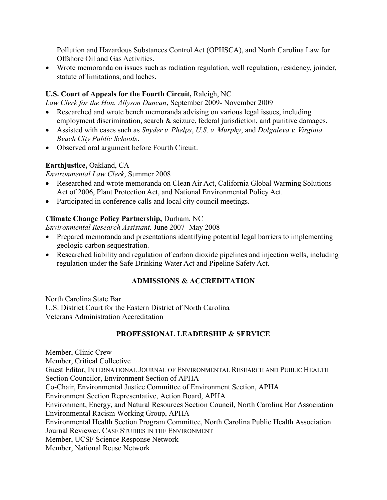Pollution and Hazardous Substances Control Act (OPHSCA), and North Carolina Law for Offshore Oil and Gas Activities.

 Wrote memoranda on issues such as radiation regulation, well regulation, residency, joinder, statute of limitations, and laches.

### U.S. Court of Appeals for the Fourth Circuit, Raleigh, NC

Law Clerk for the Hon. Allyson Duncan, September 2009- November 2009

- Researched and wrote bench memoranda advising on various legal issues, including employment discrimination, search & seizure, federal jurisdiction, and punitive damages.
- Assisted with cases such as *Snyder v. Phelps, U.S. v. Murphy*, and *Dolgaleva v. Virginia* Beach City Public Schools.
- Observed oral argument before Fourth Circuit.

## Earthjustice, Oakland, CA

Environmental Law Clerk, Summer 2008

- Researched and wrote memoranda on Clean Air Act, California Global Warming Solutions Act of 2006, Plant Protection Act, and National Environmental Policy Act.
- Participated in conference calls and local city council meetings.

## Climate Change Policy Partnership, Durham, NC

Environmental Research Assistant, June 2007- May 2008

- Prepared memoranda and presentations identifying potential legal barriers to implementing geologic carbon sequestration.
- Researched liability and regulation of carbon dioxide pipelines and injection wells, including regulation under the Safe Drinking Water Act and Pipeline Safety Act.

# ADMISSIONS & ACCREDITATION

North Carolina State Bar U.S. District Court for the Eastern District of North Carolina Veterans Administration Accreditation

# PROFESSIONAL LEADERSHIP & SERVICE

Member, Clinic Crew

Member, Critical Collective

Guest Editor, INTERNATIONAL JOURNAL OF ENVIRONMENTAL RESEARCH AND PUBLIC HEALTH Section Councilor, Environment Section of APHA

Co-Chair, Environmental Justice Committee of Environment Section, APHA

Environment Section Representative, Action Board, APHA

Environment, Energy, and Natural Resources Section Council, North Carolina Bar Association Environmental Racism Working Group, APHA

Environmental Health Section Program Committee, North Carolina Public Health Association Journal Reviewer, CASE STUDIES IN THE ENVIRONMENT

Member, UCSF Science Response Network

Member, National Reuse Network